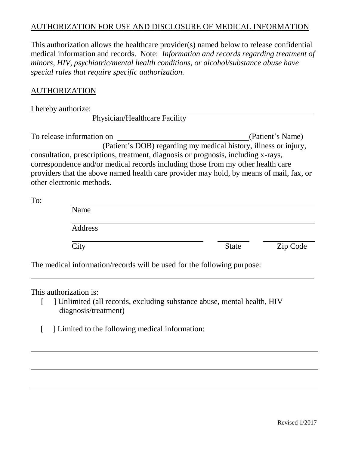## AUTHORIZATION FOR USE AND DISCLOSURE OF MEDICAL INFORMATION

This authorization allows the healthcare provider(s) named below to release confidential medical information and records. Note: *Information and records regarding treatment of minors, HIV, psychiatric/mental health conditions, or alcohol/substance abuse have special rules that require specific authorization.*

## AUTHORIZATION

I hereby authorize:

Physician/Healthcare Facility

To release information on (Patient's Name) (Patient's DOB) regarding my medical history, illness or injury, consultation, prescriptions, treatment, diagnosis or prognosis, including x-rays, correspondence and/or medical records including those from my other health care providers that the above named health care provider may hold, by means of mail, fax, or other electronic methods.

To:

| Name    |              |          |
|---------|--------------|----------|
| Address |              |          |
| City    | <b>State</b> | Zip Code |

The medical information/records will be used for the following purpose:

This authorization is:

- [ ] Unlimited (all records, excluding substance abuse, mental health, HIV diagnosis/treatment)
- [ ] Limited to the following medical information: